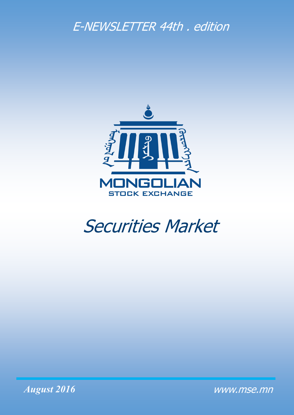## E-NEWSLETTER 44th . edition



# Securities Market



www.mse.mn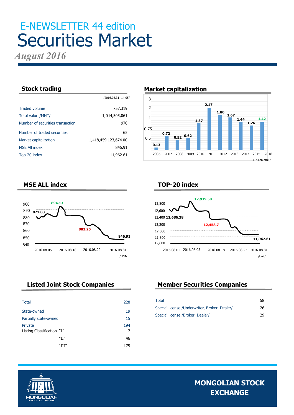# E-NEWSLETTER 44 edition Securities Market

*August 2016*

|                                  | /2016.08.31 14:05/   |
|----------------------------------|----------------------|
| <b>Traded volume</b>             | 757,319              |
| Total value /MNT/                | 1,044,505,061        |
| Number of securities transaction | 970                  |
| Number of traded securities      | 65                   |
| Market capitalization            | 1,418,459,123,674.00 |
| <b>MSE All index</b>             | 846.91               |
| Top-20 index                     | 11,962.61            |

#### **Stock trading Market capitalization**



#### **MSE ALL index**



### **TOP-20 index**



| <b>Total</b>               | 228 |
|----------------------------|-----|
| State-owned                | 19  |
| Partially state-owned      | 15  |
| Private                    | 194 |
| Listing Classification "I" | 7   |
| "II"                       | 46  |
| "III"                      | 175 |

### **Listed Joint Stock Companies Member Securities Companies**

| Total                                         | 58 |
|-----------------------------------------------|----|
| Special license / Underwriter, Broker, Dealer | 26 |
| Special license /Broker, Dealer/              | 29 |

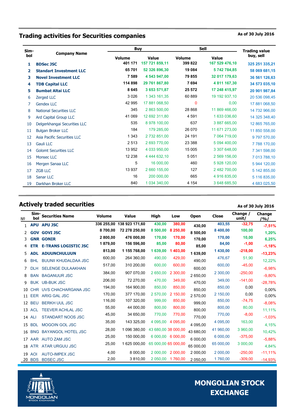### **Trading activities for Securities companies As of 30 July 2016** As of 30 July 2016

| Sim- | <b>Company Name</b>            |               | Buy            |          | <b>Sell</b>    |                                   |  |
|------|--------------------------------|---------------|----------------|----------|----------------|-----------------------------------|--|
| bol  |                                | <b>Volume</b> | Value          | Volume   | Value          | <b>Trading value</b><br>buy, sell |  |
| 1    | <b>BDSec JSC</b>               | 401 171       | 157 721 859,11 | 399 822  | 167 529 476,10 | 325 251 335,21                    |  |
| 2    | <b>Standart Investment LLC</b> | 65 701        | 52 326 896,30  | 19 0 84  | 5742784,85     | 58 069 681,15                     |  |
| 3    | <b>Novel Investment LLC</b>    | 7 5 8 9       | 4 543 947,00   | 79 855   | 32 017 179,63  | 36 561 126,63                     |  |
| 4    | <b>TDB Capital LLC</b>         | 114 898       | 29 761 867.80  | 7 6 9 4  | 4 811 167,30   | 34 573 035,10                     |  |
| 5    | <b>Bumbat Altai LLC</b>        | 8 6 4 5       | 3 653 571,87   | 25 572   | 17 248 415,97  | 20 901 987,84                     |  |
| 6    | <b>Zerged LLC</b>              | 3 0 2 6       | 1 343 161.35   | 60 889   | 19 192 937,10  | 20 536 098,45                     |  |
| 7    | <b>Gendex LLC</b>              | 42 995        | 17 881 068.50  | 0        | 0.00           | 17 881 068,50                     |  |
| 8    | <b>National Securities LLC</b> | 345           | 2 863 500,00   | 28 8 68  | 11 869 466,00  | 14 732 966,00                     |  |
| 9    | Ard Capital Group LLC          | 41 069        | 12 692 311,80  | 4 5 9 1  | 1 633 036,60   | 14 325 348,40                     |  |
| 10   | Delgerkhangai Securities LLC   | 535           | 8 978 100.00   | 637      | 3 887 665,00   | 12 865 765,00                     |  |
| 11   | <b>Bulgan Broker LLC</b>       | 184           | 179 285,00     | 26 070   | 11 671 273,00  | 11 850 558,00                     |  |
| 12   | Asia Pacific Securities LLC    | 1 3 4 3       | 2 732 851,00   | 24 191   | 7 064 719,00   | 9797570,00                        |  |
| 13   | Gauli LLC                      | 2 5 1 3       | 2 693 770,00   | 23 3 8 8 | 5 094 400.00   | 7788 170,00                       |  |
| 14   | <b>Golomt Securities LLC</b>   | 13 952        | 4 033 950,00   | 15 005   | 3 307 648,00   | 7 341 598,00                      |  |
| 15   | <b>Monsec LLC</b>              | 12 2 38       | 4 444 632,10   | 5051     | 2 569 156,00   | 7 013 788,10                      |  |
| 16   | Mergen Sanaa LLC               | 5             | 16 000,00      | 460      | 5 928 120,00   | 5 944 120,00                      |  |
| 17   | <b>ZGB LLC</b>                 | 13 937        | 2 660 155,00   | 127      | 2 482 700.00   | 5 142 855,00                      |  |
| 18   | Sanar LLC                      | 16            | 200 000,00     | 665      | 4 916 835,00   | 5 116 835,00                      |  |
| 19   | Darkhan Broker LLC             | 840           | 1 034 340,00   | 4 1 5 4  | 3 648 685,50   | 4 683 025,50                      |  |

#### **Actively traded securities Actively traded securities As of 30 July 2016**

#### № **Simbol Securities Name Volume Value High Low Open Close Change / unit/ Change /%/** <sup>1</sup> **APU APU JSC 336 255,00 138 923 171,60 430,00 380,00 430,00 403,55 -32,75 -7,51%** <sup>2</sup> **GOV GOVI JSC 8 700,00 72 278 250,00 8 500,00 8 250,00 8 500,00 8 400,00 100,00 1,20%** <sup>3</sup> **GNR GONIR 2 800,00 476 000,00 170,00 170,00 170,00 170,00 10,00 6,25%** <sup>4</sup> **ETR E-TRANS LOGISTIC JSC 1 879,00 156 596,00 85,00 80,00 85,00 84,00 -1,00 -1,18%** <sup>5</sup> **ADL ADUUNCHULUUN 813,00 1 155 768,00 1 639,00 1 403,00 1 639,00 1 430,00 -218,00 -13,23%** <sup>6</sup> BHL BUUNII KHUDALDAA JSC 600,00 264 360,00 490,00 429,00 490,00 476,67 51,90 12,22% 7 DLH SELENGE DULAAKHAN 517,00 310 200,00 600,00 600,00 600,00 600,00 -45,00 -6,98% <sup>8</sup> BAN BAGANUUR JSC 384,00 907 070,00 2 650,00 2 300,00 2 650,00 2 300,00 -250,00 -9,80% <sup>9</sup> BUK UB-BUK JSC 206,00 72 270,00 470,00 349,00 470,00 349,00 -141,00 -28,78% <sup>10</sup> CHR UVS CHACHARGANA JSC 194,00 164 900,00 850,00 850,00 850,00 850,00 0,00 0,00% 11 EER ARIG GAL JSC 170,00 377 170,00 2 570,00 **2 150,00** 2 150,00 0,00 <sub>0,00</sub>% <sup>12</sup> BEU BERKH UUL JSC 116,00 107 320,00 999,00 850,00 999,00 850,00 -74,75 -8,08% 13 ACL TEEVER ACHLAL JSC  $\begin{array}{cccc} 55,00 & 44\ 000,00 & 800,00 & 800,00 & 800,00 & 800,00 & 800,00 \\ 45,00 & 34\ 650,00 & 770,00 & 770,00 & 770,00 & 770,00 & -8,00 & 4.00\end{array}$ 14 ALI STANDART NOOS JSC 45,00 34 650,00 770,00 770,00 770.00 -1,03% 15 BDL MOGOIN GOL JSC 35,00 143 325,00 4 095,00 4 095,00 4 095,00 4 095,00 163,00 4,15% 16 BNG BAYANGOL HOTEL JSC 28,00 1 096 380,00 43 680,00 38 000,00 43 680,00 41 960,00 3 960,00 10,42%<br>25,00 150 000,00 6 000,00 6 000,00 0 000,00 6 000,00 - 375,00 - 376,00 <sup>17</sup> AAR AUTO ZAM JSC 25,00 150 000,00 6 000,00 6 000,00 6 000,00 6 000,00 -375,00 -5,88% 18 ATR ATAR URGUU JSC 25,00 1 625 000,00 65 000,00 65 000,00 65 000,00 65 000,00 4,84% <sup>19</sup> AOI AUTO-IMPEX JSC 4,00 8 000,00 2 000,00 2 000,00 2 000,00 2 000,00 -250,00 -11,11% 20 BDS BDSEC JSC 2,00 3 810,00 2 050,00 1 760,00 2 050,00 1 760,00 -309,00 -14,93%

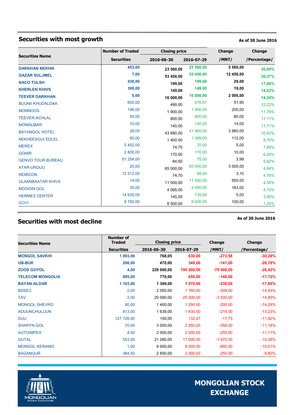### **Securities with most growth As of 30 June 2016**

|                          | <b>Number of Traded</b> | <b>Closing price</b> |            | Change    | Change       |  |
|--------------------------|-------------------------|----------------------|------------|-----------|--------------|--|
| <b>Securities Name</b>   | <b>Securities</b>       | 2016-06-30           | 2016-07-29 | /MNT/     | /Percentage/ |  |
| <b>DARKHAN NEKHIII</b>   | 453,00                  | 23 560,00            | 23 560,00  | 5 560,00  | 30,89%       |  |
| <b>GAZAR SULJMEL</b>     | 7,00                    | 53 450,00            | 53 450,00  | 12 450,00 | 30,37%       |  |
| <b>NACO TULSH</b>        | 430,00                  | 199,00               | 199,00     | 29,00     | 17,06%       |  |
| <b>KHERLEN KHIVS</b>     | 300,00                  | 149,00               | 149,00     | 19,00     | 14,62%       |  |
| <b>TEEVER DARKHAN</b>    | 5,00                    | 16 000,00            | 16 000,00  | 2 000,00  | 14,29%       |  |
| <b>BUUNII KHUDALDAA</b>  | 600,00                  | 490,00               | 476,67     | 51,90     | 12,22%       |  |
| <b>MONNOOS</b>           | 198,00                  | 1 900,00             | 1 900,00   | 200,00    | 11,76%       |  |
| <b>TEEVER-ACHLAL</b>     | 55,00                   | 800,00               | 800,00     | 80,00     | 11,11%       |  |
| <b>MONINJBAR</b>         | 10,00                   | 140,00               | 140,00     | 14,00     | 11,11%       |  |
| <b>BAYANGOL HOTEL</b>    | 28,00                   | 43 680,00            | 41 960,00  | 3 960,00  | 10,42%       |  |
| <b>NEKHEESGUI EDLEL</b>  | 60,00                   | 1 400,00             | 1 399,00   | 112,00    | 8,70%        |  |
| <b>MEREX</b>             | 5 452,00                | 74,75                | 70,00      | 5,00      | 7,69%        |  |
| <b>GONIR</b>             | 2 800,00                | 170,00               | 170,00     | 10,00     | 6,25%        |  |
| <b>GENVO TOUR BUREAU</b> | 61 254,00               | 84,50                | 75,00      | 3,99      | 5,62%        |  |
| <b>ATAR-URGUU</b>        | 25,00                   | 65 000,00            | 65 000,00  | 3 000,00  | 4,84%        |  |
| <b>REMICON</b>           | 12 512,00               | 74,70                | 68,00      | 3,10      | 4,78%        |  |
| <b>ULAANBAATAR KHIVS</b> | 14,00                   | 11 500.00            | 11 500,00  | 500,00    | 4,55%        |  |
| <b>MOGOIN GOL</b>        | 35,00                   | 4 095,00             | 4 095,00   | 163,00    | 4,15%        |  |
| <b>HERMES CENTER</b>     | 14 635,00               | 145,00               | 135,00     | 5,00      | 3,85%        |  |
| <b>GOVI</b>              | 8700,00                 | 8 500,00             | 8 400,00   | 100,00    | 1,20%        |  |

### **Securities with most decline As of 30 June 2016**

| <b>Securities Name</b>  | <b>Number of</b><br><b>Traded</b> | <b>Closing price</b> |            | Change      | <b>Change</b> |
|-------------------------|-----------------------------------|----------------------|------------|-------------|---------------|
|                         | <b>Securities</b>                 | 2016-06-30           | 2016-07-29 | /MNT/       | /Percentage/  |
| <b>MONGOL SAVKHI</b>    | 1 093,00                          | 768,05               | 630,00     | $-273,58$   | $-30,28%$     |
| <b>UB-BUK</b>           | 206,00                            | 470,00               | 349,00     | $-141,00$   | $-28,78%$     |
| <b>ZOOS GOYOL</b>       | 4,00                              | 229 000,00           | 195 000,00 | $-70000000$ | $-26,42%$     |
| <b>TELECOM MONGOLIA</b> | 895,00                            | 770,00               | 650,00     | $-140,00$   | $-17,72%$     |
| <b>BAYAN-ALDAR</b>      | 1 103,00                          | 1 300,00             | 1 070,00   | $-230,00$   | $-17,69%$     |
| <b>BDSEC</b>            | 2,00                              | 2 050,00             | 1760,00    | $-309,00$   | $-14,93%$     |
| <b>TAV</b>              | 2,00                              | 20 000,00            | 20 000,00  | $-3,500,00$ | $-14,89%$     |
| <b>MONGOL SHEVRO</b>    | 80,00                             | 1400,00              | 1 200,00   | $-200,00$   | $-14,29%$     |
| <b>ADUUNCHULUUN</b>     | 813,00                            | 1 639,00             | 1430,00    | $-218,00$   | $-13,23%$     |
| <b>SUU</b>              | 127 726,00                        | 150,00               | 132,27     | $-17,73$    | $-11,82%$     |
| <b>SHARYN GOL</b>       | 70,00                             | 3 000,00             | 2 850,00   | $-358,00$   | $-11,16%$     |
| <b>AUTOIMPEX</b>        | 4,00                              | 2 000,00             | 2 000,00   | $-250,00$   | $-11,11\%$    |
| <b>GUTAL</b>            | 553,00                            | 21 260,00            | 17 000,00  | $-1970,00$  | $-10,38%$     |
| <b>MONGOL KERAMIC</b>   | 1,00                              | 8 000,00             | 8 000,00   | $-890,00$   | $-10,01%$     |
| <b>BAGANUUR</b>         | 384,00                            | 2 650,00             | 2 300,00   | $-250,00$   | $-9,80%$      |

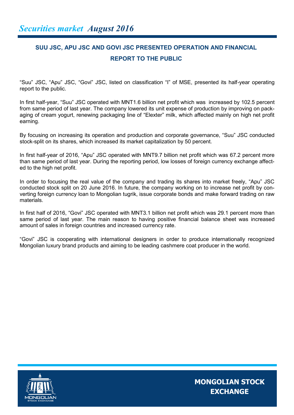### **SUU JSC, APU JSC AND GOVI JSC PRESENTED OPERATION AND FINANCIAL REPORT TO THE PUBLIC**

"Suu" JSC, "Apu" JSC, "Govi" JSC, listed on classification "I" of MSE, presented its half-year operating report to the public.

In first half-year, "Suu" JSC operated with MNT1.6 billion net profit which was increased by 102.5 percent from same period of last year. The company lowered its unit expense of production by improving on packaging of cream yogurt, renewing packaging line of "Elexter" milk, which affected mainly on high net profit earning.

By focusing on increasing its operation and production and corporate governance, "Suu" JSC conducted stock-split on its shares, which increased its market capitalization by 50 percent.

In first half-year of 2016, "Apu" JSC operated with MNT9.7 billion net profit which was 67.2 percent more than same period of last year. During the reporting period, low losses of foreign currency exchange affected to the high net profit.

In order to focusing the real value of the company and trading its shares into market freely, "Apu" JSC conducted stock split on 20 June 2016. In future, the company working on to increase net profit by converting foreign currency loan to Mongolian tugrik, issue corporate bonds and make forward trading on raw materials.

In first half of 2016, "Govi" JSC operated with MNT3.1 billion net profit which was 29.1 percent more than same period of last year. The main reason to having positive financial balance sheet was increased amount of sales in foreign countries and increased currency rate.

"Govi" JSC is cooperating with international designers in order to produce internationally recognized Mongolian luxury brand products and aiming to be leading cashmere coat producer in the world.